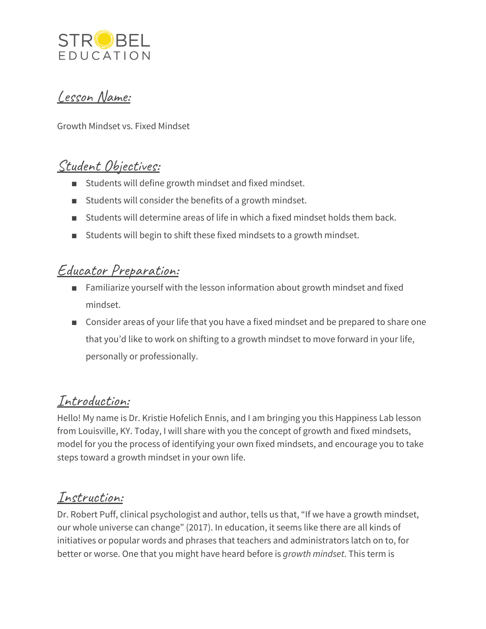

# Lesson Name:

Growth Mindset vs. Fixed Mindset

# Student Objectives:

- Students will define growth mindset and fixed mindset.
- Students will consider the benefits of a growth mindset.
- Students will determine areas of life in which a fixed mindset holds them back.
- Students will begin to shift these fixed mindsets to a growth mindset.

# Educator Preparation:

- Familiarize yourself with the lesson information about growth mindset and fixed mindset.
- Consider areas of your life that you have a fixed mindset and be prepared to share one that you'd like to work on shifting to a growth mindset to move forward in your life, personally or professionally.

# Introduction:

Hello! My name is Dr. Kristie Hofelich Ennis, and I am bringing you this Happiness Lab lesson from Louisville, KY. Today, I will share with you the concept of growth and fixed mindsets, model for you the process of identifying your own fixed mindsets, and encourage you to take steps toward a growth mindset in your own life.

# Instruction:

Dr. Robert Puff, clinical psychologist and author, tells us that, "If we have a growth mindset, our whole universe can change" (2017). In education, it seems like there are all kinds of initiatives or popular words and phrases that teachers and administrators latch on to, for better or worse. One that you might have heard before is *growth mindset*. This term is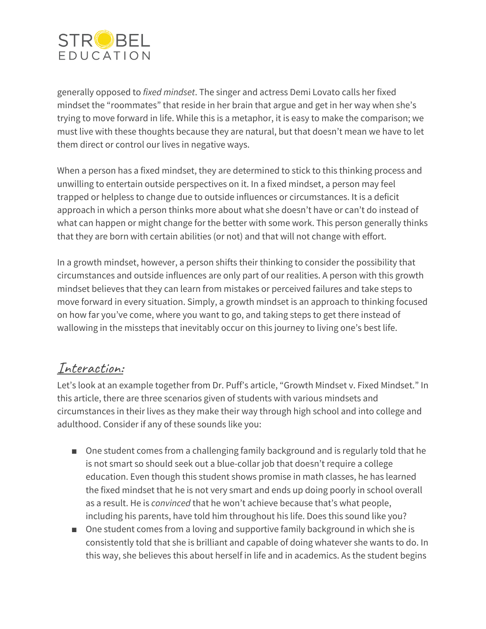

generally opposed to *fixed mindset*. The singer and actress Demi Lovato calls her fixed mindset the "roommates" that reside in her brain that argue and get in her way when she's trying to move forward in life. While this is a metaphor, it is easy to make the comparison; we must live with these thoughts because they are natural, but that doesn't mean we have to let them direct or control our lives in negative ways.

When a person has a fixed mindset, they are determined to stick to this thinking process and unwilling to entertain outside perspectives on it. In a fixed mindset, a person may feel trapped or helpless to change due to outside influences or circumstances. It is a deficit approach in which a person thinks more about what she doesn't have or can't do instead of what can happen or might change for the better with some work. This person generally thinks that they are born with certain abilities (or not) and that will not change with effort.

In a growth mindset, however, a person shifts their thinking to consider the possibility that circumstances and outside influences are only part of our realities. A person with this growth mindset believes that they can learn from mistakes or perceived failures and take steps to move forward in every situation. Simply, a growth mindset is an approach to thinking focused on how far you've come, where you want to go, and taking steps to get there instead of wallowing in the missteps that inevitably occur on this journey to living one's best life.

# Interaction:

Let's look at an example together from Dr. Puff's article, "Growth Mindset v. Fixed Mindset." In this article, there are three scenarios given of students with various mindsets and circumstances in their lives as they make their way through high school and into college and adulthood. Consider if any of these sounds like you:

- One student comes from a challenging family background and is regularly told that he is not smart so should seek out a blue-collar job that doesn't require a college education. Even though this student shows promise in math classes, he has learned the fixed mindset that he is not very smart and ends up doing poorly in school overall as a result. He is *convinced* that he won't achieve because that's what people, including his parents, have told him throughout his life. Does this sound like you?
- One student comes from a loving and supportive family background in which she is consistently told that she is brilliant and capable of doing whatever she wants to do. In this way, she believes this about herself in life and in academics. As the student begins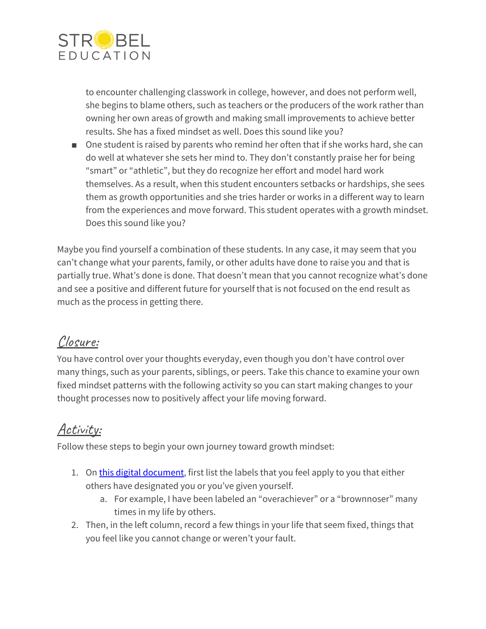

to encounter challenging classwork in college, however, and does not perform well, she begins to blame others, such as teachers or the producers of the work rather than owning her own areas of growth and making small improvements to achieve better results. She has a fixed mindset as well. Does this sound like you?

■ One student is raised by parents who remind her often that if she works hard, she can do well at whatever she sets her mind to. They don't constantly praise her for being "smart" or "athletic", but they do recognize her effort and model hard work themselves. As a result, when this student encounters setbacks or hardships, she sees them as growth opportunities and she tries harder or works in a different way to learn from the experiences and move forward. This student operates with a growth mindset. Does this sound like you?

Maybe you find yourself a combination of these students. In any case, it may seem that you can't change what your parents, family, or other adults have done to raise you and that is partially true. What's done is done. That doesn't mean that you cannot recognize what's done and see a positive and different future for yourself that is not focused on the end result as much as the process in getting there.

# Closure:

You have control over your thoughts everyday, even though you don't have control over many things, such as your parents, siblings, or peers. Take this chance to examine your own fixed mindset patterns with the following activity so you can start making changes to your thought processes now to positively affect your life moving forward.

# Activity:

Follow these steps to begin your own journey toward growth mindset:

- 1. On this digital [document,](https://docs.google.com/document/d/1QaWaouQqj7Og6hFpiMA4kTBArZogBgIY22D7ZDzFNzw/edit?usp=sharing) first list the labels that you feel apply to you that either others have designated you or you've given yourself.
	- a. For example, I have been labeled an "overachiever" or a "brownnoser" many times in my life by others.
- 2. Then, in the left column, record a few things in your life that seem fixed, things that you feel like you cannot change or weren't your fault.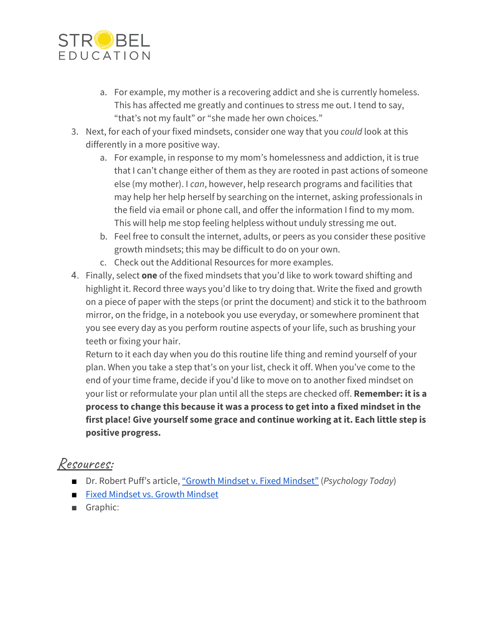

- a. For example, my mother is a recovering addict and she is currently homeless. This has affected me greatly and continues to stress me out. I tend to say, "that's not my fault" or "she made her own choices."
- 3. Next, for each of your fixed mindsets, consider one way that you *could* look at this differently in a more positive way.
	- a. For example, in response to my mom's homelessness and addiction, it is true that I can't change either of them as they are rooted in past actions of someone else (my mother). I *can*, however, help research programs and facilities that may help her help herself by searching on the internet, asking professionals in the field via email or phone call, and offer the information I find to my mom. This will help me stop feeling helpless without unduly stressing me out.
	- b. Feel free to consult the internet, adults, or peers as you consider these positive growth mindsets; this may be difficult to do on your own.
	- c. Check out the Additional Resources for more examples.
- 4. Finally, select **one** of the fixed mindsets that you'd like to work toward shifting and highlight it. Record three ways you'd like to try doing that. Write the fixed and growth on a piece of paper with the steps (or print the document) and stick it to the bathroom mirror, on the fridge, in a notebook you use everyday, or somewhere prominent that you see every day as you perform routine aspects of your life, such as brushing your teeth or fixing your hair.

Return to it each day when you do this routine life thing and remind yourself of your plan. When you take a step that's on your list, check it off. When you've come to the end of your time frame, decide if you'd like to move on to another fixed mindset on your list or reformulate your plan until all the steps are checked off. **Remember: it is a process to change this because it was a process to get into a fixed mindset in the first place! Give yourself some grace and continue working at it. Each little step is positive progress.**

#### Resources:

- Dr. Robert Puff's article, "Growth Mindset v. Fixed [Mindset"](https://www.psychologytoday.com/us/blog/meditation-modern-life/201709/growth-mindset-vs-fixed-mindset) (*Psychology Today*)
- Fixed [Mindset](https://sivers.org/mindset) vs. Growth Mindset
- Graphic: